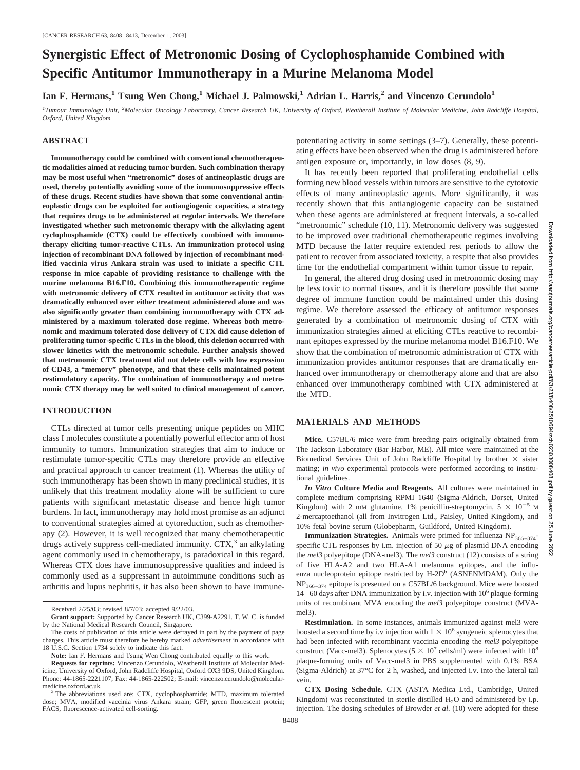# **Synergistic Effect of Metronomic Dosing of Cyclophosphamide Combined with Specific Antitumor Immunotherapy in a Murine Melanoma Model**

Ian F. Hermans,<sup>1</sup> Tsung Wen Chong,<sup>1</sup> Michael J. Palmowski,<sup>1</sup> Adrian L. Harris,<sup>2</sup> and Vincenzo Cerundolo<sup>1</sup>

*1 Tumour Immunology Unit, <sup>2</sup> Molecular Oncology Laboratory, Cancer Research UK, University of Oxford, Weatherall Institute of Molecular Medicine, John Radcliffe Hospital, Oxford, United Kingdom*

#### **ABSTRACT**

**Immunotherapy could be combined with conventional chemotherapeutic modalities aimed at reducing tumor burden. Such combination therapy may be most useful when "metronomic" doses of antineoplastic drugs are used, thereby potentially avoiding some of the immunosuppressive effects of these drugs. Recent studies have shown that some conventional antineoplastic drugs can be exploited for antiangiogenic capacities, a strategy that requires drugs to be administered at regular intervals. We therefore investigated whether such metronomic therapy with the alkylating agent cyclophosphamide (CTX) could be effectively combined with immunotherapy eliciting tumor-reactive CTLs. An immunization protocol using injection of recombinant DNA followed by injection of recombinant modified vaccinia virus Ankara strain was used to initiate a specific CTL response in mice capable of providing resistance to challenge with the murine melanoma B16.F10. Combining this immunotherapeutic regime with metronomic delivery of CTX resulted in antitumor activity that was dramatically enhanced over either treatment administered alone and was also significantly greater than combining immunotherapy with CTX administered by a maximum tolerated dose regime. Whereas both metronomic and maximum tolerated dose delivery of CTX did cause deletion of proliferating tumor-specific CTLs in the blood, this deletion occurred with slower kinetics with the metronomic schedule. Further analysis showed that metronomic CTX treatment did not delete cells with low expression of CD43, a "memory" phenotype, and that these cells maintained potent restimulatory capacity. The combination of immunotherapy and metronomic CTX therapy may be well suited to clinical management of cancer.**

### **INTRODUCTION**

CTLs directed at tumor cells presenting unique peptides on MHC class I molecules constitute a potentially powerful effector arm of host immunity to tumors. Immunization strategies that aim to induce or restimulate tumor-specific CTLs may therefore provide an effective and practical approach to cancer treatment (1). Whereas the utility of such immunotherapy has been shown in many preclinical studies, it is unlikely that this treatment modality alone will be sufficient to cure patients with significant metastatic disease and hence high tumor burdens. In fact, immunotherapy may hold most promise as an adjunct to conventional strategies aimed at cytoreduction, such as chemotherapy (2). However, it is well recognized that many chemotherapeutic drugs actively suppress cell-mediated immunity.  $CTX$ ,<sup>3</sup> an alkylating agent commonly used in chemotherapy, is paradoxical in this regard. Whereas CTX does have immunosuppressive qualities and indeed is commonly used as a suppressant in autoimmune conditions such as arthritis and lupus nephritis, it has also been shown to have immunepotentiating activity in some settings (3–7). Generally, these potentiating effects have been observed when the drug is administered before antigen exposure or, importantly, in low doses (8, 9).

It has recently been reported that proliferating endothelial cells forming new blood vessels within tumors are sensitive to the cytotoxic effects of many antineoplastic agents. More significantly, it was recently shown that this antiangiogenic capacity can be sustained when these agents are administered at frequent intervals, a so-called "metronomic" schedule (10, 11). Metronomic delivery was suggested to be improved over traditional chemotherapeutic regimes involving MTD because the latter require extended rest periods to allow the patient to recover from associated toxicity, a respite that also provides time for the endothelial compartment within tumor tissue to repair.

In general, the altered drug dosing used in metronomic dosing may be less toxic to normal tissues, and it is therefore possible that some degree of immune function could be maintained under this dosing regime. We therefore assessed the efficacy of antitumor responses generated by a combination of metronomic dosing of CTX with immunization strategies aimed at eliciting CTLs reactive to recombinant epitopes expressed by the murine melanoma model B16.F10. We show that the combination of metronomic administration of CTX with immunization provides antitumor responses that are dramatically enhanced over immunotherapy or chemotherapy alone and that are also enhanced over immunotherapy combined with CTX administered at the MTD.

#### **MATERIALS AND METHODS**

**Mice.** C57BL/6 mice were from breeding pairs originally obtained from The Jackson Laboratory (Bar Harbor, ME). All mice were maintained at the Biomedical Services Unit of John Radcliffe Hospital by brother  $\times$  sister mating; *in vivo* experimental protocols were performed according to institutional guidelines.

*In Vitro* **Culture Media and Reagents.** All cultures were maintained in complete medium comprising RPMI 1640 (Sigma-Aldrich, Dorset, United Kingdom) with 2 mM glutamine, 1% penicillin-streptomycin,  $5 \times 10^{-5}$  M 2-mercaptoethanol (all from Invitrogen Ltd., Paisley, United Kingdom), and 10% fetal bovine serum (Globepharm, Guildford, United Kingdom).

**Immunization Strategies.** Animals were primed for influenza NP<sub>366–374</sub>specific CTL responses by i.m. injection of 50  $\mu$ g of plasmid DNA encoding the *mel3* polyepitope (DNA-mel3). The *mel3* construct (12) consists of a string of five HLA-A2 and two HLA-A1 melanoma epitopes, and the influenza nucleoprotein epitope restricted by  $H$ -2D<sup>b</sup> (ASNENMDAM). Only the NP366–374 epitope is presented on a C57BL/6 background. Mice were boosted  $14-60$  days after DNA immunization by i.v. injection with  $10<sup>6</sup>$  plaque-forming units of recombinant MVA encoding the *mel3* polyepitope construct (MVAmel3).

**Restimulation.** In some instances, animals immunized against mel3 were boosted a second time by i.v injection with  $1 \times 10^6$  syngeneic splenocytes that had been infected with recombinant vaccinia encoding the *mel3* polyepitope construct (Vacc-mel3). Splenocytes ( $5 \times 10^7$  cells/ml) were infected with  $10^8$ plaque-forming units of Vacc-mel3 in PBS supplemented with 0.1% BSA (Sigma-Aldrich) at 37°C for 2 h, washed, and injected i.v. into the lateral tail vein.

**CTX Dosing Schedule.** CTX (ASTA Medica Ltd., Cambridge, United Kingdom) was reconstituted in sterile distilled H<sub>2</sub>O and administered by i.p. injection. The dosing schedules of Browder *et al.* (10) were adopted for these

Received 2/25/03; revised 8/7/03; accepted 9/22/03.

**Grant support:** Supported by Cancer Research UK, C399-A2291. T. W. C. is funded by the National Medical Research Council, Singapore.

The costs of publication of this article were defrayed in part by the payment of page charges. This article must therefore be hereby marked *advertisement* in accordance with 18 U.S.C. Section 1734 solely to indicate this fact.

**Note:** Ian F. Hermans and Tsung Wen Chong contributed equally to this work.

**Requests for reprints:** Vincenzo Cerundolo, Weatherall Institute of Molecular Medicine, University of Oxford, John Radcliffe Hospital, Oxford OX3 9DS, United Kingdom. Phone: 44-1865-2221107; Fax: 44-1865-222502; E-mail: vincenzo.cerundolo@molecularmedicine.oxford.ac.uk.<br><sup>3</sup> The abbreviations used are: CTX, cyclophosphamide; MTD, maximum tolerated

dose; MVA, modified vaccinia virus Ankara strain; GFP, green fluorescent protein; FACS, fluorescence-activated cell-sorting.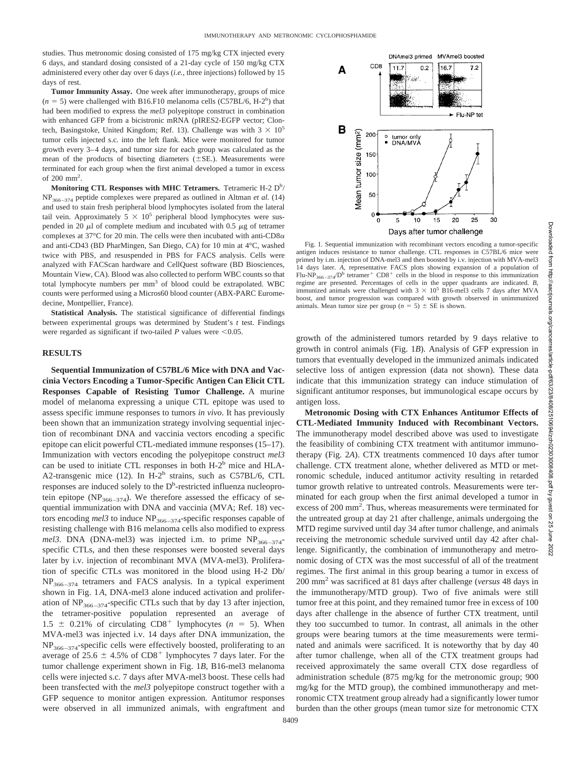studies. Thus metronomic dosing consisted of 175 mg/kg CTX injected every 6 days, and standard dosing consisted of a 21-day cycle of 150 mg/kg CTX administered every other day over 6 days (*i.e.,* three injections) followed by 15 days of rest.

**Tumor Immunity Assay.** One week after immunotherapy, groups of mice  $(n = 5)$  were challenged with B16.F10 melanoma cells (C57BL/6, H-2<sup>b</sup>) that had been modified to express the *mel3* polyepitope construct in combination with enhanced GFP from a bicistronic mRNA (pIRES2-EGFP vector; Clontech, Basingstoke, United Kingdom; Ref. 13). Challenge was with  $3 \times 10^5$ tumor cells injected s.c. into the left flank. Mice were monitored for tumor growth every 3–4 days, and tumor size for each group was calculated as the mean of the products of bisecting diameters  $(\pm SE)$ . Measurements were terminated for each group when the first animal developed a tumor in excess of 200 mm2 .

Monitoring CTL Responses with MHC Tetramers. Tetrameric H-2 D<sup>b</sup>/ NP366–374 peptide complexes were prepared as outlined in Altman *et al.* (14) and used to stain fresh peripheral blood lymphocytes isolated from the lateral tail vein. Approximately  $5 \times 10^5$  peripheral blood lymphocytes were suspended in 20  $\mu$ l of complete medium and incubated with 0.5  $\mu$ g of tetramer complexes at 37 $\rm{^{\circ}C}$  for 20 min. The cells were then incubated with anti-CD8 $\alpha$ and anti-CD43 (BD PharMingen, San Diego, CA) for 10 min at 4°C, washed twice with PBS, and resuspended in PBS for FACS analysis. Cells were analyzed with FACScan hardware and CellQuest software (BD Biosciences, Mountain View, CA). Blood was also collected to perform WBC counts so that total lymphocyte numbers per mm<sup>3</sup> of blood could be extrapolated. WBC counts were performed using a Micros60 blood counter (ABX-PARC Euromedecine, Montpellier, France).

**Statistical Analysis.** The statistical significance of differential findings between experimental groups was determined by Student's *t* test. Findings were regarded as significant if two-tailed  $P$  values were  $\leq 0.05$ .

## **RESULTS**

**Sequential Immunization of C57BL/6 Mice with DNA and Vaccinia Vectors Encoding a Tumor-Specific Antigen Can Elicit CTL Responses Capable of Resisting Tumor Challenge.** A murine model of melanoma expressing a unique CTL epitope was used to assess specific immune responses to tumors *in vivo*. It has previously been shown that an immunization strategy involving sequential injection of recombinant DNA and vaccinia vectors encoding a specific epitope can elicit powerful CTL-mediated immune responses (15–17). Immunization with vectors encoding the polyepitope construct *mel3* can be used to initiate CTL responses in both  $H-2<sup>b</sup>$  mice and  $HLA-$ A2-transgenic mice (12). In H-2<sup>b</sup> strains, such as C57BL/6, CTL responses are induced solely to the D<sup>b</sup>-restricted influenza nucleoprotein epitope (NP<sub>366–374</sub>). We therefore assessed the efficacy of sequential immunization with DNA and vaccinia (MVA; Ref. 18) vectors encoding mel3 to induce NP<sub>366-374</sub>-specific responses capable of resisting challenge with B16 melanoma cells also modified to express *mel3*. DNA (DNA-mel3) was injected i.m. to prime  $NP<sub>366–374</sub>$ specific CTLs, and then these responses were boosted several days later by i.v. injection of recombinant MVA (MVA-mel3). Proliferation of specific CTLs was monitored in the blood using H-2 Db/  $NP<sub>366–374</sub>$  tetramers and FACS analysis. In a typical experiment shown in Fig. 1*A*, DNA-mel3 alone induced activation and proliferation of  $NP<sub>366–374</sub>$ -specific CTLs such that by day 13 after injection, the tetramer-positive population represented an average of  $1.5 \pm 0.21\%$  of circulating CD8<sup>+</sup> lymphocytes ( $n = 5$ ). When MVA-mel3 was injected i.v. 14 days after DNA immunization, the  $NP<sub>366–374</sub>$ -specific cells were effectively boosted, proliferating to an average of 25.6  $\pm$  4.5% of CD8<sup>+</sup> lymphocytes 7 days later. For the tumor challenge experiment shown in Fig. 1*B*, B16-mel3 melanoma cells were injected s.c. 7 days after MVA-mel3 boost. These cells had been transfected with the *mel3* polyepitope construct together with a GFP sequence to monitor antigen expression. Antitumor responses were observed in all immunized animals, with engraftment and



Days after tumor challenge

Fig. 1. Sequential immunization with recombinant vectors encoding a tumor-specific antigen induces resistance to tumor challenge. CTL responses in C57BL/6 mice were primed by i.m. injection of DNA-mel3 and then boosted by i.v. injection with MVA-mel3 14 days later. *A,* representative FACS plots showing expansion of a population of Flu-NP<sub>366–374</sub>/D<sup>b</sup> tetramer<sup>+</sup> CD8<sup>+</sup> cells in the blood in response to this immunization regime are presented. Percentages of cells in the upper quadrants are indicated. *B,* immunized animals were challenged with  $3 \times 10^5$  B16-mel3 cells 7 days after MVA boost, and tumor progression was compared with growth observed in unimmunized animals. Mean tumor size per group ( $n = 5$ )  $\pm$  SE is shown.

growth of the administered tumors retarded by 9 days relative to growth in control animals (Fig. 1*B*). Analysis of GFP expression in tumors that eventually developed in the immunized animals indicated selective loss of antigen expression (data not shown). These data indicate that this immunization strategy can induce stimulation of significant antitumor responses, but immunological escape occurs by antigen loss.

**Metronomic Dosing with CTX Enhances Antitumor Effects of CTL-Mediated Immunity Induced with Recombinant Vectors.** The immunotherapy model described above was used to investigate the feasibility of combining CTX treatment with antitumor immunotherapy (Fig. 2*A*). CTX treatments commenced 10 days after tumor challenge. CTX treatment alone, whether delivered as MTD or metronomic schedule, induced antitumor activity resulting in retarded tumor growth relative to untreated controls. Measurements were terminated for each group when the first animal developed a tumor in excess of 200 mm<sup>2</sup>. Thus, whereas measurements were terminated for the untreated group at day 21 after challenge, animals undergoing the MTD regime survived until day 34 after tumor challenge, and animals receiving the metronomic schedule survived until day 42 after challenge. Significantly, the combination of immunotherapy and metronomic dosing of CTX was the most successful of all of the treatment regimes. The first animal in this group bearing a tumor in excess of 200 mm2 was sacrificed at 81 days after challenge (*versus* 48 days in the immunotherapy/MTD group). Two of five animals were still tumor free at this point, and they remained tumor free in excess of 100 days after challenge in the absence of further CTX treatment, until they too succumbed to tumor. In contrast, all animals in the other groups were bearing tumors at the time measurements were terminated and animals were sacrificed. It is noteworthy that by day 40 after tumor challenge, when all of the CTX treatment groups had received approximately the same overall CTX dose regardless of administration schedule (875 mg/kg for the metronomic group; 900 mg/kg for the MTD group), the combined immunotherapy and metronomic CTX treatment group already had a significantly lower tumor burden than the other groups (mean tumor size for metronomic CTX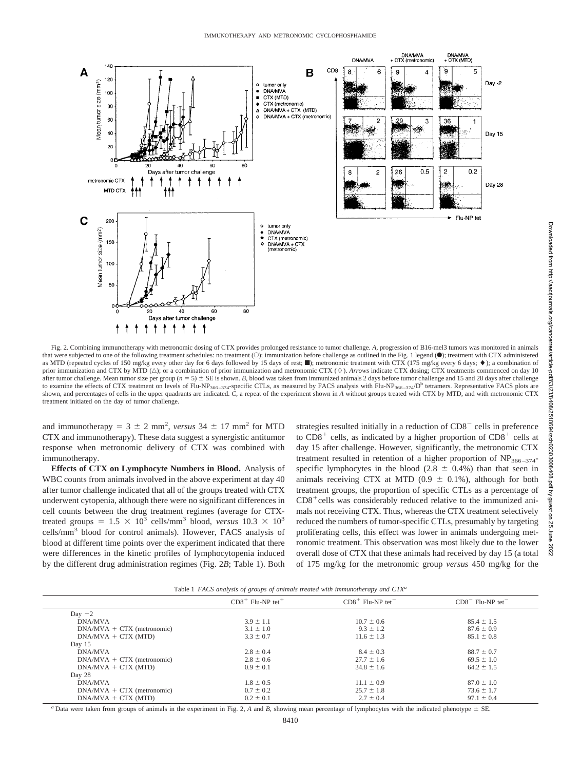

Fig. 2. Combining immunotherapy with metronomic dosing of CTX provides prolonged resistance to tumor challenge. *A,* progression of B16-mel3 tumors was monitored in animals that were subjected to one of the following treatment schedules: no treatment (O); immunization before challenge as outlined in the Fig. 1 legend (.); treatment with CTX administered as MTD (repeated cycles of 150 mg/kg every other day for 6 days followed by 15 days of rest; netronomic treatment with CTX (175 mg/kg every 6 days;  $\bullet$ ); a combination of prior immunization and CTX by MTD ( $\triangle$ ); or a combination of prior immunization and metronomic CTX ( $\diamond$ ). *Arrows* indicate CTX dosing; CTX treatments commenced on day 10 after tumor challenge. Mean tumor size per group ( $n = 5$ )  $\pm$  SE is shown. *B*, blood was taken from immunized animals 2 days before tumor challenge and 15 and 28 days after challenge to examine the effects of CTX treatment on levels of Flu-NP<sub>366–374</sub>-specific CTLs, as measured by FACS analysis with Flu-NP<sub>366–374</sub>/D<sup>b</sup> tetramers. Representative FACS plots are shown, and percentages of cells in the upper quadrants are indicated. *C*, a repeat of the experiment shown in *A* without groups treated with CTX by MTD, and with metronomic CTX treatment initiated on the day of tumor challenge.

and immunotherapy =  $3 \pm 2$  mm<sup>2</sup>, *versus*  $34 \pm 17$  mm<sup>2</sup> for MTD CTX and immunotherapy). These data suggest a synergistic antitumor response when metronomic delivery of CTX was combined with immunotherapy.

**Effects of CTX on Lymphocyte Numbers in Blood.** Analysis of WBC counts from animals involved in the above experiment at day 40 after tumor challenge indicated that all of the groups treated with CTX underwent cytopenia, although there were no significant differences in cell counts between the drug treatment regimes (average for CTXtreated groups =  $1.5 \times 10^3$  cells/mm<sup>3</sup> blood, *versus*  $10.3 \times 10^3$ cells/mm3 blood for control animals). However, FACS analysis of blood at different time points over the experiment indicated that there were differences in the kinetic profiles of lymphocytopenia induced by the different drug administration regimes (Fig. 2*B*; Table 1). Both

strategies resulted initially in a reduction of  $CD8<sup>-</sup>$  cells in preference to  $CD8<sup>+</sup>$  cells, as indicated by a higher proportion of  $CD8<sup>+</sup>$  cells at day 15 after challenge. However, significantly, the metronomic CTX treatment resulted in retention of a higher proportion of  $NP<sub>366–374</sub>$ specific lymphocytes in the blood (2.8  $\pm$  0.4%) than that seen in animals receiving CTX at MTD (0.9  $\pm$  0.1%), although for both treatment groups, the proportion of specific CTLs as a percentage of  $CD8<sup>+</sup>$ cells was considerably reduced relative to the immunized animals not receiving CTX. Thus, whereas the CTX treatment selectively reduced the numbers of tumor-specific CTLs, presumably by targeting proliferating cells, this effect was lower in animals undergoing metronomic treatment. This observation was most likely due to the lower overall dose of CTX that these animals had received by day 15 (a total of 175 mg/kg for the metronomic group *versus* 450 mg/kg for the

|  |  |  |  |  |  |  | Table 1 FACS analysis of groups of animals treated with immunotherapy and CTX <sup>a</sup> |  |  |
|--|--|--|--|--|--|--|--------------------------------------------------------------------------------------------|--|--|
|--|--|--|--|--|--|--|--------------------------------------------------------------------------------------------|--|--|

|                              | $CD8+$ Flu-NP tet <sup>+</sup> | $CD8+$ Flu-NP tet | $CD8$ <sup>-</sup> Flu-NP tet <sup>-</sup> |  |
|------------------------------|--------------------------------|-------------------|--------------------------------------------|--|
| Day $-2$                     |                                |                   |                                            |  |
| DNA/MVA                      | $3.9 \pm 1.1$                  | $10.7 \pm 0.6$    | $85.4 \pm 1.5$                             |  |
| $DNA/MVA + CTX$ (metronomic) | $3.1 \pm 1.0$                  | $9.3 \pm 1.2$     | $87.6 \pm 0.9$                             |  |
| $DNA/MVA + CTX (MTD)$        | $3.3 \pm 0.7$                  | $11.6 \pm 1.3$    | $85.1 \pm 0.8$                             |  |
| Day 15                       |                                |                   |                                            |  |
| DNA/MVA                      | $2.8 \pm 0.4$                  | $8.4 \pm 0.3$     | $88.7 \pm 0.7$                             |  |
| $DNA/MVA + CTX$ (metronomic) | $2.8 \pm 0.6$                  | $27.7 \pm 1.6$    | $69.5 \pm 1.0$                             |  |
| $DNA/MVA + CTX (MTD)$        | $0.9 \pm 0.1$                  | $34.8 \pm 1.6$    | $64.2 \pm 1.5$                             |  |
| Day 28                       |                                |                   |                                            |  |
| <b>DNA/MVA</b>               | $1.8 \pm 0.5$                  | $11.1 \pm 0.9$    | $87.0 \pm 1.0$                             |  |
| $DNA/MVA + CTX$ (metronomic) | $0.7 \pm 0.2$                  | $25.7 \pm 1.8$    | $73.6 \pm 1.7$                             |  |
| $DNAMVA + CTX (MTD)$         | $0.2 \pm 0.1$                  | $2.7 \pm 0.4$     | $97.1 \pm 0.4$                             |  |
|                              |                                |                   |                                            |  |

*a* Data were taken from groups of animals in the experiment in Fig. 2, *A* and *B*, showing mean percentage of lymphocytes with the indicated phenotype  $\pm$  SE.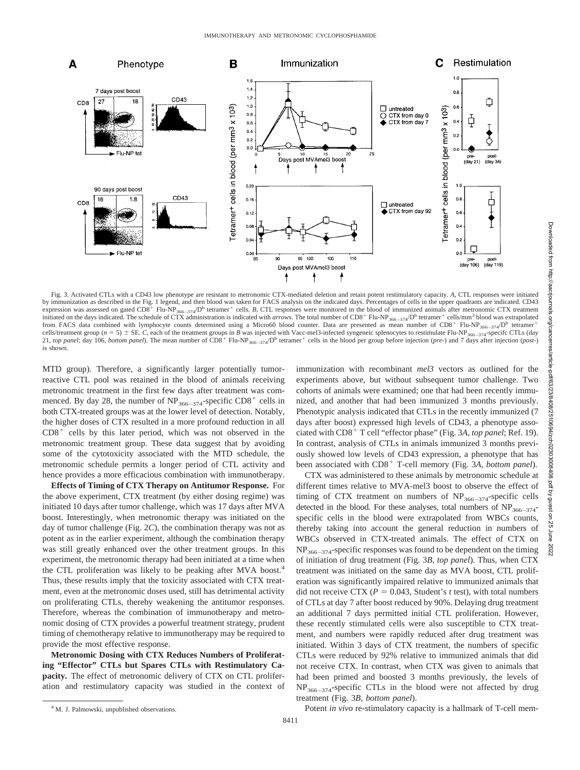

Fig. 3. Activated CTLs with a CD43 low phenotype are resistant to metronomic CTX-mediated deletion and retain potent restimulatory capacity. *A,* CTL responses were initiated by immunization as described in the Fig. 1 legend, and then blood was taken for FACS analysis on the indicated days. Percentages of cells in the upper quadrants are indicated. CD43 expression was assessed on gated CD8<sup>+</sup> Flu-NP<sub>366–374</sub>/D<sup>b</sup> tetramer<sup>+</sup> cells. *B*, CTL responses were monitored in the blood of immunized animals after metronomic CTX treatment initiated on the days indicated. The schedule of CTX administration is indicated with *arrows*. The total number of CD8<sup>+</sup> Flu-NP<sub>366–374</sub>/D<sup>b</sup> tetramer<sup>+</sup> cells/mm<sup>3</sup> blood was extrapolated from FACS data combined with lymphocyte counts determined using a Micro60 blood counter. Data are presented as mean number of  $CD8^+$  Flu-NP<sub>366–374</sub>/D<sup>b</sup> tetramer<sup>+</sup> cells/treatment group ( $n = 5$ )  $\pm$  SE. *C*, each of the treatment groups in *B* was injected with Vacc-mel3-infected syngeneic splenocytes to restimulate Flu-NP<sub>366–374</sub>-specifc CTLs (day 21, *top panel*; day 106, *bottom panel*). The mean number of CD8<sup>+</sup> Flu-NP<sub>366–374</sub>/D<sup>b</sup> tetramer<sup>+</sup> cells in the blood per group before injection (*pre-*) and 7 days after injection (*post-*) is shown.

MTD group). Therefore, a significantly larger potentially tumorreactive CTL pool was retained in the blood of animals receiving metronomic treatment in the first few days after treatment was commenced. By day 28, the number of  $NP_{366-374}$ -specific CD8<sup>+</sup> cells in both CTX-treated groups was at the lower level of detection. Notably, the higher doses of CTX resulted in a more profound reduction in all  $CD8<sup>+</sup>$  cells by this later period, which was not observed in the metronomic treatment group. These data suggest that by avoiding some of the cytotoxicity associated with the MTD schedule, the metronomic schedule permits a longer period of CTL activity and hence provides a more efficacious combination with immunotherapy.

**Effects of Timing of CTX Therapy on Antitumor Response.** For the above experiment, CTX treatment (by either dosing regime) was initiated 10 days after tumor challenge, which was 17 days after MVA boost. Interestingly, when metronomic therapy was initiated on the day of tumor challenge (Fig. 2*C*), the combination therapy was not as potent as in the earlier experiment, although the combination therapy was still greatly enhanced over the other treatment groups. In this experiment, the metronomic therapy had been initiated at a time when the CTL proliferation was likely to be peaking after MVA boost.<sup>4</sup> Thus, these results imply that the toxicity associated with CTX treatment, even at the metronomic doses used, still has detrimental activity on proliferating CTLs, thereby weakening the antitumor responses. Therefore, whereas the combination of immunotherapy and metronomic dosing of CTX provides a powerful treatment strategy, prudent timing of chemotherapy relative to immunotherapy may be required to provide the most effective response.

**Metronomic Dosing with CTX Reduces Numbers of Proliferating "Effector" CTLs but Spares CTLs with Restimulatory Capacity.** The effect of metronomic delivery of CTX on CTL proliferation and restimulatory capacity was studied in the context of immunization with recombinant *mel3* vectors as outlined for the experiments above, but without subsequent tumor challenge. Two cohorts of animals were examined; one that had been recently immunized, and another that had been immunized 3 months previously. Phenotypic analysis indicated that CTLs in the recently immunized (7 days after boost) expressed high levels of CD43, a phenotype associated with CD8<sup>+</sup> T cell "effector phase" (Fig. 3A, top panel; Ref. 19). In contrast, analysis of CTLs in animals immunized 3 months previously showed low levels of CD43 expression, a phenotype that has been associated with CD8<sup>+</sup> T-cell memory (Fig. 3A, bottom panel).

CTX was administered to these animals by metronomic schedule at different times relative to MVA-mel3 boost to observe the effect of timing of CTX treatment on numbers of  $NP<sub>366-374</sub>$ -specific cells detected in the blood. For these analyses, total numbers of  $NP_{366-374}$ specific cells in the blood were extrapolated from WBCs counts, thereby taking into account the general reduction in numbers of WBCs observed in CTX-treated animals. The effect of CTX on  $NP<sub>366–374</sub>$ -specific responses was found to be dependent on the timing of initiation of drug treatment (Fig. 3*B, top panel*). Thus, when CTX treatment was initiated on the same day as MVA boost, CTL proliferation was significantly impaired relative to immunized animals that did not receive CTX ( $P = 0.043$ , Student's *t* test), with total numbers of CTLs at day 7 after boost reduced by 90%. Delaying drug treatment an additional 7 days permitted initial CTL proliferation. However, these recently stimulated cells were also susceptible to CTX treatment, and numbers were rapidly reduced after drug treatment was initiated. Within 3 days of CTX treatment, the numbers of specific CTLs were reduced by 92% relative to immunized animals that did not receive CTX. In contrast, when CTX was given to animals that had been primed and boosted 3 months previously, the levels of  $NP<sub>366–374</sub>$ -specific CTLs in the blood were not affected by drug treatment (Fig. 3*B, bottom panel*).

<sup>4</sup> M. J. Palmowski, unpublished observations. **Example 2018** Potent *in vivo* re-stimulatory capacity is a hallmark of T-cell mem-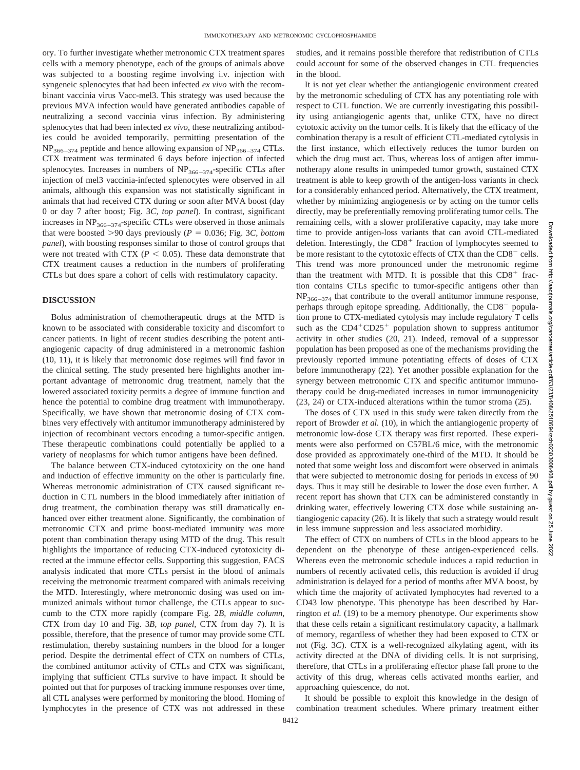ory. To further investigate whether metronomic CTX treatment spares cells with a memory phenotype, each of the groups of animals above was subjected to a boosting regime involving i.v. injection with syngeneic splenocytes that had been infected *ex vivo* with the recombinant vaccinia virus Vacc-mel3. This strategy was used because the previous MVA infection would have generated antibodies capable of neutralizing a second vaccinia virus infection. By administering splenocytes that had been infected *ex vivo*, these neutralizing antibodies could be avoided temporarily, permitting presentation of the  $NP<sub>366–374</sub>$  peptide and hence allowing expansion of  $NP<sub>366–374</sub> CTLs.$ CTX treatment was terminated 6 days before injection of infected splenocytes. Increases in numbers of  $NP<sub>366–374</sub>$ -specific CTLs after injection of mel3 vaccinia-infected splenocytes were observed in all animals, although this expansion was not statistically significant in animals that had received CTX during or soon after MVA boost (day 0 or day 7 after boost; Fig. 3*C, top panel*). In contrast, significant increases in  $NP<sub>366–374</sub>$ -specific CTLs were observed in those animals that were boosted  $>90$  days previously ( $P = 0.036$ ; Fig. 3*C, bottom panel*), with boosting responses similar to those of control groups that were not treated with CTX ( $P < 0.05$ ). These data demonstrate that CTX treatment causes a reduction in the numbers of proliferating CTLs but does spare a cohort of cells with restimulatory capacity.

### **DISCUSSION**

Bolus administration of chemotherapeutic drugs at the MTD is known to be associated with considerable toxicity and discomfort to cancer patients. In light of recent studies describing the potent antiangiogenic capacity of drug administered in a metronomic fashion (10, 11), it is likely that metronomic dose regimes will find favor in the clinical setting. The study presented here highlights another important advantage of metronomic drug treatment, namely that the lowered associated toxicity permits a degree of immune function and hence the potential to combine drug treatment with immunotherapy. Specifically, we have shown that metronomic dosing of CTX combines very effectively with antitumor immunotherapy administered by injection of recombinant vectors encoding a tumor-specific antigen. These therapeutic combinations could potentially be applied to a variety of neoplasms for which tumor antigens have been defined.

The balance between CTX-induced cytotoxicity on the one hand and induction of effective immunity on the other is particularly fine. Whereas metronomic administration of CTX caused significant reduction in CTL numbers in the blood immediately after initiation of drug treatment, the combination therapy was still dramatically enhanced over either treatment alone. Significantly, the combination of metronomic CTX and prime boost-mediated immunity was more potent than combination therapy using MTD of the drug. This result highlights the importance of reducing CTX-induced cytotoxicity directed at the immune effector cells. Supporting this suggestion, FACS analysis indicated that more CTLs persist in the blood of animals receiving the metronomic treatment compared with animals receiving the MTD. Interestingly, where metronomic dosing was used on immunized animals without tumor challenge, the CTLs appear to succumb to the CTX more rapidly (compare Fig. 2*B, middle column*, CTX from day 10 and Fig. 3*B, top panel,* CTX from day 7). It is possible, therefore, that the presence of tumor may provide some CTL restimulation, thereby sustaining numbers in the blood for a longer period. Despite the detrimental effect of CTX on numbers of CTLs, the combined antitumor activity of CTLs and CTX was significant, implying that sufficient CTLs survive to have impact. It should be pointed out that for purposes of tracking immune responses over time, all CTL analyses were performed by monitoring the blood. Homing of lymphocytes in the presence of CTX was not addressed in these studies, and it remains possible therefore that redistribution of CTLs could account for some of the observed changes in CTL frequencies in the blood.

It is not yet clear whether the antiangiogenic environment created by the metronomic scheduling of CTX has any potentiating role with respect to CTL function. We are currently investigating this possibility using antiangiogenic agents that, unlike CTX, have no direct cytotoxic activity on the tumor cells. It is likely that the efficacy of the combination therapy is a result of efficient CTL-mediated cytolysis in the first instance, which effectively reduces the tumor burden on which the drug must act. Thus, whereas loss of antigen after immunotherapy alone results in unimpeded tumor growth, sustained CTX treatment is able to keep growth of the antigen-loss variants in check for a considerably enhanced period. Alternatively, the CTX treatment, whether by minimizing angiogenesis or by acting on the tumor cells directly, may be preferentially removing proliferating tumor cells. The remaining cells, with a slower proliferative capacity, may take more time to provide antigen-loss variants that can avoid CTL-mediated deletion. Interestingly, the  $CD8<sup>+</sup>$  fraction of lymphocytes seemed to be more resistant to the cytotoxic effects of CTX than the CD8<sup>-</sup> cells. This trend was more pronounced under the metronomic regime than the treatment with MTD. It is possible that this  $CD8<sup>+</sup>$  fraction contains CTLs specific to tumor-specific antigens other than  $NP<sub>366–374</sub>$  that contribute to the overall antitumor immune response, perhaps through epitope spreading. Additionally, the CD8<sup>-</sup> population prone to CTX-mediated cytolysis may include regulatory T cells such as the  $CD4+CD25+$  population shown to suppress antitumor activity in other studies (20, 21). Indeed, removal of a suppressor population has been proposed as one of the mechanisms providing the previously reported immune potentiating effects of doses of CTX before immunotherapy (22). Yet another possible explanation for the synergy between metronomic CTX and specific antitumor immunotherapy could be drug-mediated increases in tumor immunogenicity (23, 24) or CTX-induced alterations within the tumor stroma (25).

The doses of CTX used in this study were taken directly from the report of Browder *et al.* (10), in which the antiangiogenic property of metronomic low-dose CTX therapy was first reported. These experiments were also performed on C57BL/6 mice, with the metronomic dose provided as approximately one-third of the MTD. It should be noted that some weight loss and discomfort were observed in animals that were subjected to metronomic dosing for periods in excess of 90 days. Thus it may still be desirable to lower the dose even further. A recent report has shown that CTX can be administered constantly in drinking water, effectively lowering CTX dose while sustaining antiangiogenic capacity (26). It is likely that such a strategy would result in less immune suppression and less associated morbidity.

The effect of CTX on numbers of CTLs in the blood appears to be dependent on the phenotype of these antigen-experienced cells. Whereas even the metronomic schedule induces a rapid reduction in numbers of recently activated cells, this reduction is avoided if drug administration is delayed for a period of months after MVA boost, by which time the majority of activated lymphocytes had reverted to a CD43 low phenotype. This phenotype has been described by Harrington *et al.* (19) to be a memory phenotype. Our experiments show that these cells retain a significant restimulatory capacity, a hallmark of memory, regardless of whether they had been exposed to CTX or not (Fig. 3*C*). CTX is a well-recognized alkylating agent, with its activity directed at the DNA of dividing cells. It is not surprising, therefore, that CTLs in a proliferating effector phase fall prone to the activity of this drug, whereas cells activated months earlier, and approaching quiescence, do not.

It should be possible to exploit this knowledge in the design of combination treatment schedules. Where primary treatment either Downloaded